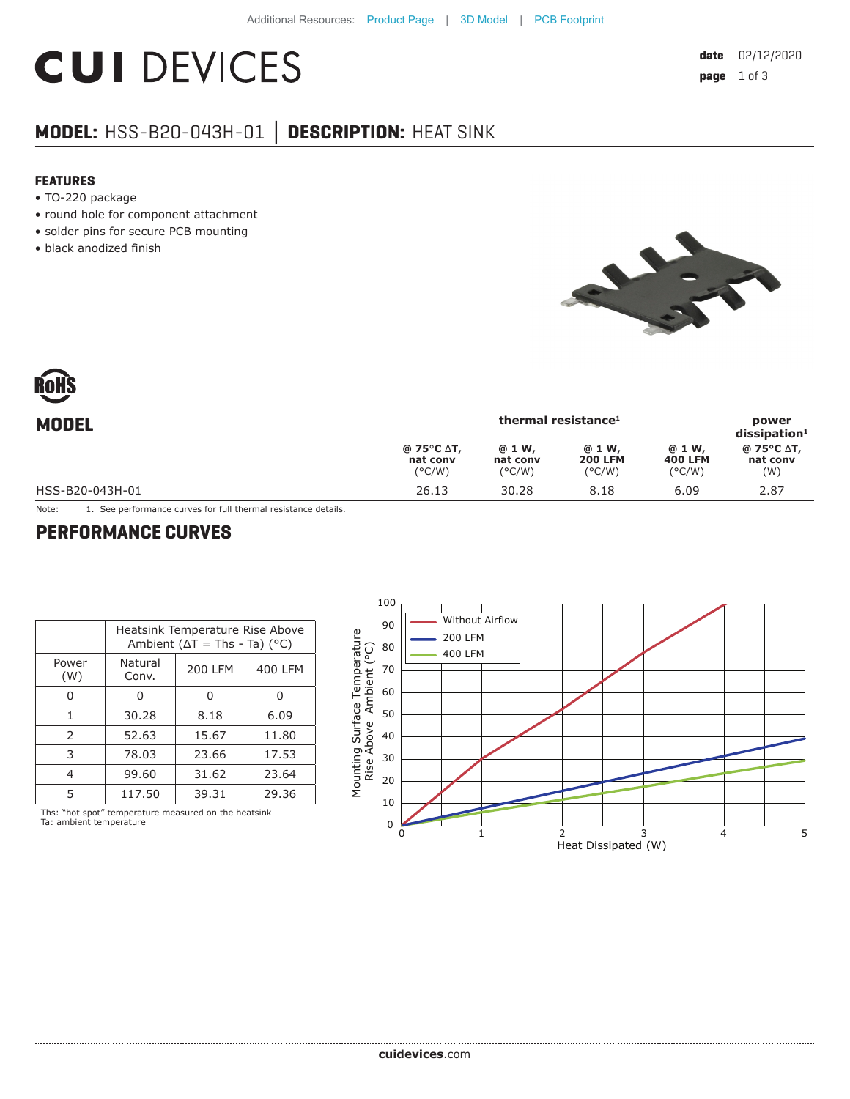# **CUI DEVICES**

## **MODEL:** HSS-B20-043H-01 **│ DESCRIPTION:** HEAT SINK

#### **FEATURES**

- TO-220 package
- round hole for component attachment
- solder pins for secure PCB mounting
- black anodized finish



| $\sim$          |                                            |                                        |                                              |                                             |                                      |
|-----------------|--------------------------------------------|----------------------------------------|----------------------------------------------|---------------------------------------------|--------------------------------------|
| <b>MODEL</b>    | thermal resistance <sup>1</sup>            |                                        |                                              |                                             | power<br>$dis$ sipation <sup>1</sup> |
|                 | @ 75°C ∆T,<br>nat conv<br>$(^{\circ}$ C/W) | @ 1 W,<br>nat conv<br>$(^{\circ}$ C/W) | @ 1 W,<br><b>200 LFM</b><br>$(^{\circ}$ C/W) | @ 1 W,<br><b>400 LFM</b><br>$(^{\circ}C/W)$ | @ 75°C ∆T,<br>nat conv<br>(W)        |
| HSS-B20-043H-01 | 26.13                                      | 30.28                                  | 8.18                                         | 6.09                                        | 2.87                                 |
|                 |                                            |                                        |                                              |                                             |                                      |

Note: 1. See performance curves for full thermal resistance details.

#### **PERFORMANCE CURVES**

|               | Heatsink Temperature Rise Above<br>Ambient ( $\Delta T$ = Ths - Ta) (°C) |                |         |  |  |
|---------------|--------------------------------------------------------------------------|----------------|---------|--|--|
| Power<br>(W)  | Natural<br>Conv.                                                         | <b>200 LFM</b> | 400 LFM |  |  |
|               | 0                                                                        |                |         |  |  |
| 1             | 30.28                                                                    | 8.18           | 6.09    |  |  |
| $\mathcal{P}$ | 52.63                                                                    | 15.67          | 11.80   |  |  |
| 3             | 78.03                                                                    | 23.66          | 17.53   |  |  |
| 4             | 99.60                                                                    | 31.62          | 23.64   |  |  |
| 5             | 117.50                                                                   | 39.31          | 29.36   |  |  |

Ths: "hot spot" temperature measured on the heatsink Ta: ambient temperature

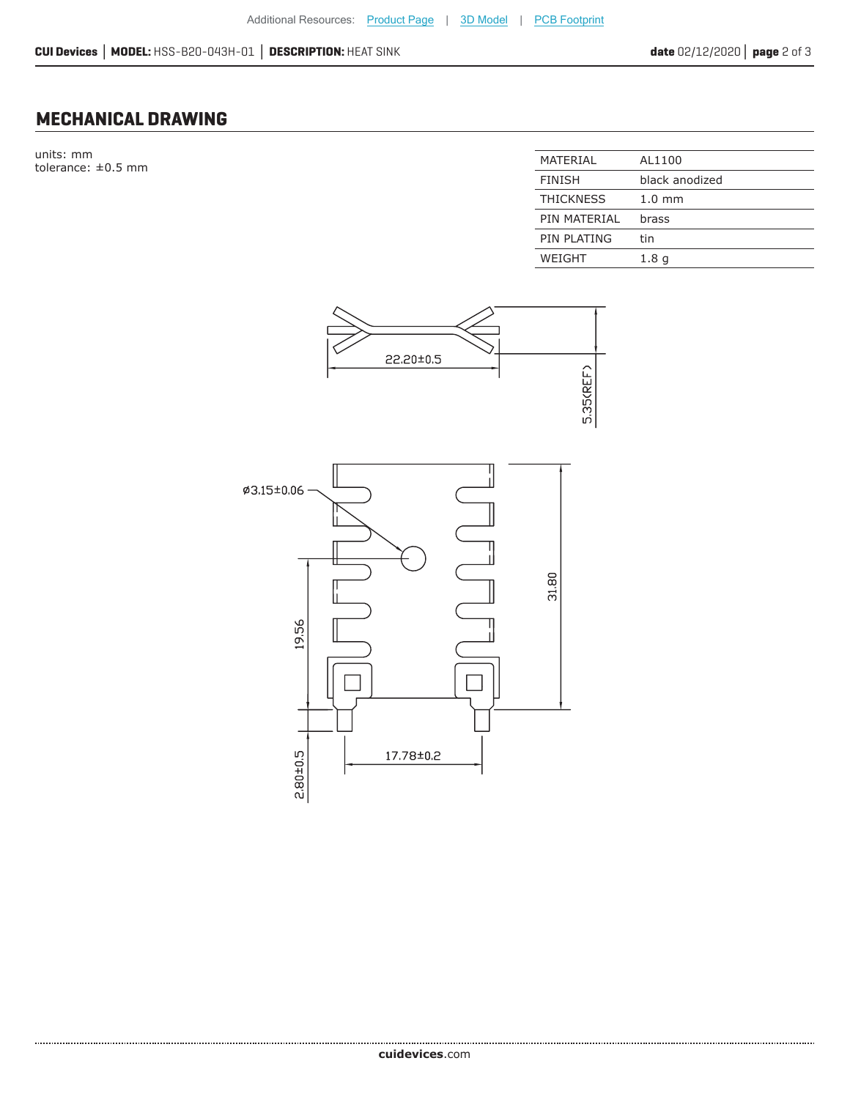### **MECHANICAL DRAWING**

units: mm tolerance:  $\pm 0.5$  mm

| MATERIAL         | AL1100           |
|------------------|------------------|
| <b>FINISH</b>    | black anodized   |
| <b>THICKNESS</b> | $1.0 \text{ mm}$ |
| PIN MATFRIAI     | brass            |
| PIN PLATING      | tin              |
| WFIGHT           | 1.8 g            |